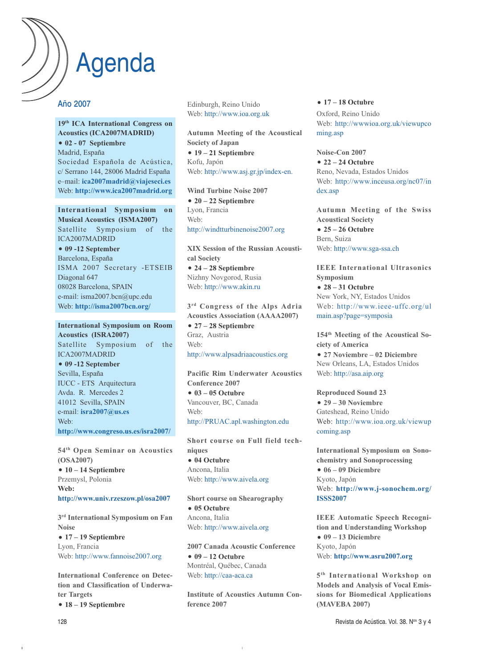# Agenda

### Año 2007

#### **19th ICA International Congress on Acoustics (ICA2007MADRID) 02 - 07 Septiembre** Madrid, España Sociedad Española de Acústica, c/ Serrano 144, 28006 Madrid España e–mail: **ica2007madrid@viajeseci.es**

**International Symposium on Musical Acoustics (ISMA2007)** Satellite Symposium of the ICA2007MADRID

Web: **http://www.ica2007madrid.org**

#### **09 -12 September**  Barcelona, España

ISMA 2007 Secretary -ETSEIB Diagonal 647 08028 Barcelona, SPAIN e-mail: isma2007.bcn@upc.edu Web: **http://isma2007bcn.org/**

**International Symposium on Room Acoustics (ISRA2007)** Satellite Symposium of the ICA2007MADRID **09 -12 September**  Sevilla, España IUCC - ETS Arquitectura Avda. R. Mercedes 2 41012 Sevilla, SPAIN e-mail: **isra2007@us.es** Web: **http://www.congreso.us.es/isra2007/**

**54th Open Seminar on Acoustics (OSA2007)**

 **10 – 14 Septiembre** Przemysl, Polonia **Web: http://www.univ.rzeszow.pl/osa2007**

**3rd International Symposium on Fan Noise 17 – 19 Septiembre** Lyon, Francia Web: http://www.fannoise2007.org

**International Conference on Detection and Classification of Underwater Targets**

**18 – 19 Septiembre**

Edinburgh, Reino Unido Web: http://www.ioa.org.uk

**Autumn Meeting of the Acoustical Society of Japan 19 – 21 Septiembre** Kofu, Japón Web: http://www.asj.gr.jp/index-en.

**Wind Turbine Noise 2007 20 – 22 Septiembre** Lyon, Francia Web: http://windtturbinenoise2007.org

**XIX Session of the Russian Acoustical Society 24 – 28 Septiembre** Nizhny Novgorod, Rusia Web: http://www.akin.ru

**3rd Congress of the Alps Adria Acoustics Association (AAAA2007)**

 **27 – 28 Septiembre** Graz, Austria Web: http://www.alpsadriaacoustics.org

**Pacific Rim Underwater Acoustics Conference 2007 03 – 05 Octubre** Vancouver, BC, Canada Web: http://PRUAC.apl.washington.edu

**Short course on Full field techniques 04 Octubre** Ancona, Italia Web: http://www.aivela.org

**Short course on Shearography 05 Octubre** Ancona, Italia Web: http://www.aivela.org

**2007 Canada Acoustic Conference 09 – 12 Octubre** Montréal, Québec, Canada Web: http://caa-aca.ca

**Institute of Acoustics Autumn Conference 2007**

 $\begin{array}{c} \hline \end{array}$ 

**17 – 18 Octubre**

Oxford, Reino Unido Web: http://wwwioa.org.uk/viewupco ming.asp

**Noise-Con 2007 22 – 24 Octubre** Reno, Nevada, Estados Unidos Web: http://www.inceusa.org/nc07/in dex.asp

**Autumn Meeting of the Swiss Acoustical Society 25 – 26 Octubre** Bern, Suiza Web: http://www.sga-ssa.ch

**IEEE International Ultrasonics Symposium**

 **28 – 31 Octubre** New York, NY, Estados Unidos Web: http://www.ieee-uffc.org/ul main.asp?page=symposia

**154th Meeting of the Acoustical Society of America 27 Noviembre – 02 Diciembre** New Orleans, LA, Estados Unidos Web: http://asa.aip.org

**Reproduced Sound 23 29 – 30 Noviembre** Gateshead, Reino Unido Web: http://www.ioa.org.uk/viewup coming.asp

**International Symposium on Sonochemistry and Sonoprocessing 06 – 09 Diciembre** Kyoto, Japón Web: **http://www.j-sonochem.org/ ISSS2007**

**IEEE Automatic Speech Recognition and Understanding Workshop 09 – 13 Diciembre** Kyoto, Japón Web: **http://www.asru2007.org**

**5th International Workshop on Models and Analysis of Vocal Emissions for Biomedical Applications (MAVEBA 2007)**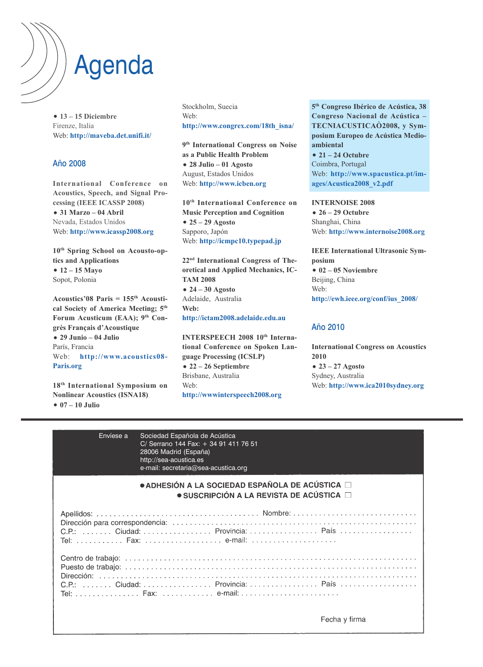## Agenda

 **13 – 15 Diciembre** Firenze, Italia Web: **http://maveba.det.unifi.it/**

### Año 2008

**International Conference on Acoustics, Speech, and Signal Processing (IEEE ICASSP 2008) 31 Marzo – 04 Abril** Nevada, Estados Unidos Web: **http://www.icassp2008.org**

**10th Spring School on Acousto-optics and Applications 12 – 15 Mayo** Sopot, Polonia

**Acoustics'08 Paris = 155th Acoustical Society of America Meeting; 5th** Forum Acusticum (EAA); 9<sup>th</sup> Con**grès Français d'Acoustique**

 **29 Junio – 04 Julio** París, Francia Web: **http://www.acoustics08- Paris.org**

**18th International Symposium on Nonlinear Acoustics (ISNA18) 07 – 10 Julio**

Stockholm, Suecia Web: **http://www.congrex.com/18th\_isna/**

**9th International Congress on Noise as a Public Health Problem 28 Julio – 01 Agosto** August, Estados Unidos Web: **http://www.icben.org**

**10th International Conference on Music Perception and Cognition 25 – 29 Agosto** Sapporo, Japón Web: **http://icmpc10.typepad.jp**

**22nd International Congress of Theoretical and Applied Mechanics, IC-TAM 2008 24 – 30 Agosto** Adelaide, Australia **Web: http://ictam2008.adelaide.edu.au**

**INTERSPEECH 2008 10<sup>th</sup> International Conference on Spoken Language Processing (ICSLP) 22 – 26 Septiembre** Brisbane, Australia Web: **http://wwwinterspeech2008.org**

**5th Congreso Ibérico de Acústica, 38 Congreso Nacional de Acústica – TECNIACUSTICAÒ2008, y Symposium Europeo de Acústica Medioambiental 21 – 24 Octubre** Coimbra, Portugal

Web: **http://www.spacustica.pt/images/Acustica2008\_v2.pdf**

**INTERNOISE 2008 26 – 29 Octubre** Shanghai, China Web: **http://www.internoise2008.org**

**IEEE International Ultrasonic Symposium 02 – 05 Noviembre** Beijing, China Web: **http://ewh.ieee.org/conf/ius\_2008/**

### Año 2010

**International Congress on Acoustics 2010 23 – 27 Agosto** Sydney, Australia Web: **http://www.ica2010sydney.org**